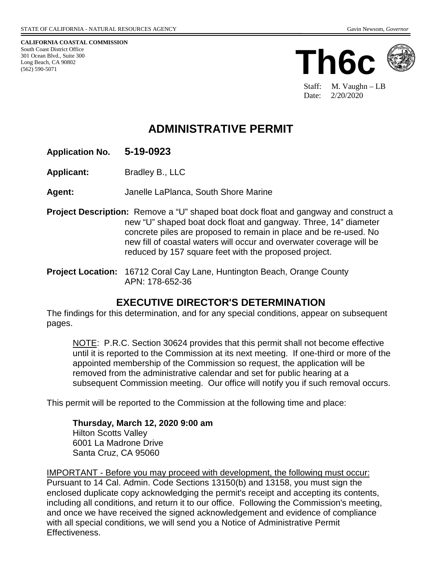**CALIFORNIA COASTAL COMMISSION** South Coast District Office 301 Ocean Blvd., Suite 300 Long Beach, CA 90802 (562) 590-5071



Staff: M. Vaughn – LB Date: 2/20/2020

# **ADMINISTRATIVE PERMIT**

### **Application No. 5-19-0923**

**Applicant:** Bradley B., LLC

**Agent:** Janelle LaPlanca, South Shore Marine

- **Project Description:** Remove a "U" shaped boat dock float and gangway and construct a new "U" shaped boat dock float and gangway. Three, 14" diameter concrete piles are proposed to remain in place and be re-used. No new fill of coastal waters will occur and overwater coverage will be reduced by 157 square feet with the proposed project.
- **Project Location:** 16712 Coral Cay Lane, Huntington Beach, Orange County APN: 178-652-36

## **EXECUTIVE DIRECTOR'S DETERMINATION**

The findings for this determination, and for any special conditions, appear on subsequent pages.

NOTE: P.R.C. Section 30624 provides that this permit shall not become effective until it is reported to the Commission at its next meeting. If one-third or more of the appointed membership of the Commission so request, the application will be removed from the administrative calendar and set for public hearing at a subsequent Commission meeting. Our office will notify you if such removal occurs.

This permit will be reported to the Commission at the following time and place:

**Thursday, March 12, 2020 9:00 am** Hilton Scotts Valley 6001 La Madrone Drive Santa Cruz, CA 95060

IMPORTANT - Before you may proceed with development, the following must occur: Pursuant to 14 Cal. Admin. Code Sections 13150(b) and 13158, you must sign the enclosed duplicate copy acknowledging the permit's receipt and accepting its contents, including all conditions, and return it to our office. Following the Commission's meeting, and once we have received the signed acknowledgement and evidence of compliance with all special conditions, we will send you a Notice of Administrative Permit Effectiveness.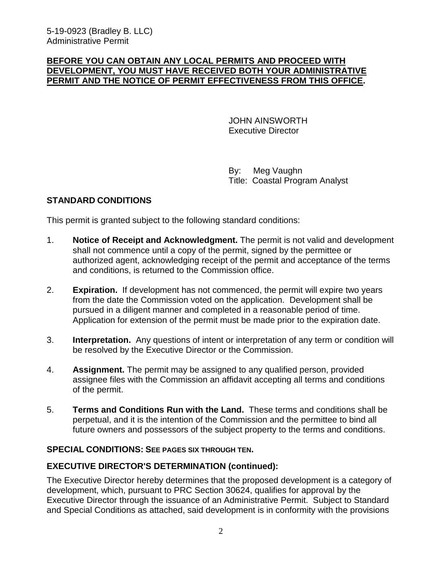#### **BEFORE YOU CAN OBTAIN ANY LOCAL PERMITS AND PROCEED WITH DEVELOPMENT, YOU MUST HAVE RECEIVED BOTH YOUR ADMINISTRATIVE PERMIT AND THE NOTICE OF PERMIT EFFECTIVENESS FROM THIS OFFICE.**

 JOHN AINSWORTH Executive Director

 By: Meg Vaughn Title: Coastal Program Analyst

### **STANDARD CONDITIONS**

This permit is granted subject to the following standard conditions:

- 1. **Notice of Receipt and Acknowledgment.** The permit is not valid and development shall not commence until a copy of the permit, signed by the permittee or authorized agent, acknowledging receipt of the permit and acceptance of the terms and conditions, is returned to the Commission office.
- 2. **Expiration.** If development has not commenced, the permit will expire two years from the date the Commission voted on the application. Development shall be pursued in a diligent manner and completed in a reasonable period of time. Application for extension of the permit must be made prior to the expiration date.
- 3. **Interpretation.** Any questions of intent or interpretation of any term or condition will be resolved by the Executive Director or the Commission.
- 4. **Assignment.** The permit may be assigned to any qualified person, provided assignee files with the Commission an affidavit accepting all terms and conditions of the permit.
- 5. **Terms and Conditions Run with the Land.** These terms and conditions shall be perpetual, and it is the intention of the Commission and the permittee to bind all future owners and possessors of the subject property to the terms and conditions.

#### **SPECIAL CONDITIONS: SEE PAGES SIX THROUGH TEN.**

#### **EXECUTIVE DIRECTOR'S DETERMINATION (continued):**

The Executive Director hereby determines that the proposed development is a category of development, which, pursuant to PRC Section 30624, qualifies for approval by the Executive Director through the issuance of an Administrative Permit. Subject to Standard and Special Conditions as attached, said development is in conformity with the provisions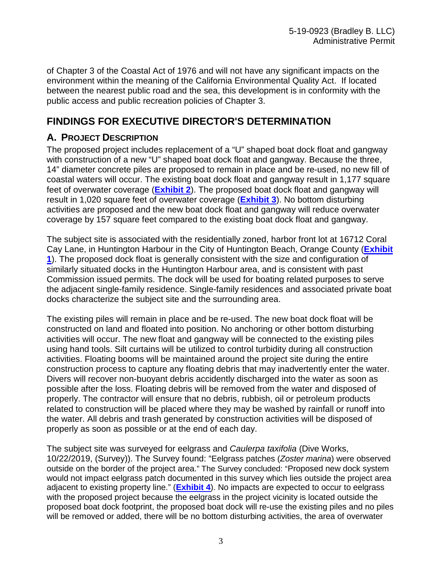of Chapter 3 of the Coastal Act of 1976 and will not have any significant impacts on the environment within the meaning of the California Environmental Quality Act. If located between the nearest public road and the sea, this development is in conformity with the public access and public recreation policies of Chapter 3.

# **FINDINGS FOR EXECUTIVE DIRECTOR'S DETERMINATION**

### **A. PROJECT DESCRIPTION**

The proposed project includes replacement of a "U" shaped boat dock float and gangway with construction of a new "U" shaped boat dock float and gangway. Because the three, 14" diameter concrete piles are proposed to remain in place and be re-used, no new fill of coastal waters will occur. The existing boat dock float and gangway result in 1,177 square feet of overwater coverage (**Exhibit 2**). The proposed boat dock float and gangway will result in 1,020 square feet of overwater coverage (**Exhibit 3**). No bottom disturbing activities are proposed and the new boat dock float and gangway will reduce overwater coverage by 157 square feet compared to the existing boat dock float and gangway.

The subject site is associated with the residentially zoned, harbor front lot at 16712 Coral Cay Lane, in Huntington Harbour in the City of Huntington Beach, Orange County (**Exhibit 1**). The proposed dock float is generally consistent with the size and configuration of similarly situated docks in the Huntington Harbour area, and is consistent with past Commission issued permits. The dock will be used for boating related purposes to serve the adjacent single-family residence. Single-family residences and associated private boat docks characterize the subject site and the surrounding area.

The existing piles will remain in place and be re-used. The new boat dock float will be constructed on land and floated into position. No anchoring or other bottom disturbing activities will occur. The new float and gangway will be connected to the existing piles using hand tools. Silt curtains will be utilized to control turbidity during all construction activities. Floating booms will be maintained around the project site during the entire construction process to capture any floating debris that may inadvertently enter the water. Divers will recover non-buoyant debris accidently discharged into the water as soon as possible after the loss. Floating debris will be removed from the water and disposed of properly. The contractor will ensure that no debris, rubbish, oil or petroleum products related to construction will be placed where they may be washed by rainfall or runoff into the water. All debris and trash generated by construction activities will be disposed of properly as soon as possible or at the end of each day.

The subject site was surveyed for eelgrass and *Caulerpa taxifolia* (Dive Works, 10/22/2019, (Survey)). The Survey found: "Eelgrass patches (*Zoster marina*) were observed outside on the border of the project area." The Survey concluded: "Proposed new dock system would not impact eelgrass patch documented in this survey which lies outside the project area adjacent to existing property line." (**Exhibit 4**). No impacts are expected to occur to eelgrass with the proposed project because the eelgrass in the project vicinity is located outside the proposed boat dock footprint, the proposed boat dock will re-use the existing piles and no piles will be removed or added, there will be no bottom disturbing activities, the area of overwater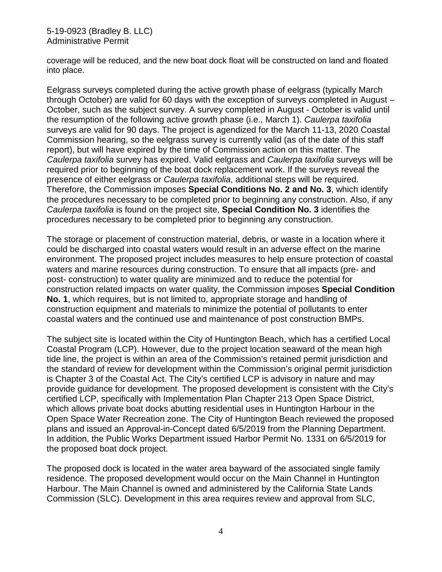coverage will be reduced, and the new boat dock float will be constructed on land and floated into place.

Eelgrass surveys completed during the active growth phase of eelgrass (typically March through October) are valid for 60 days with the exception of surveys completed in August – October, such as the subject survey. A survey completed in August - October is valid until the resumption of the following active growth phase (i.e., March 1). *Caulerpa taxifolia* surveys are valid for 90 days. The project is agendized for the March 11-13, 2020 Coastal Commission hearing, so the eelgrass survey is currently valid (as of the date of this staff report), but will have expired by the time of Commission action on this matter. The *Caulerpa taxifolia* survey has expired. Valid eelgrass and *Caulerpa taxifolia* surveys will be required prior to beginning of the boat dock replacement work. If the surveys reveal the presence of either eelgrass or *Caulerpa taxifolia*, additional steps will be required. Therefore, the Commission imposes **Special Conditions No. 2 and No. 3**, which identify the procedures necessary to be completed prior to beginning any construction. Also, if any *Caulerpa taxifolia* is found on the project site, **Special Condition No. 3** identifies the procedures necessary to be completed prior to beginning any construction.

The storage or placement of construction material, debris, or waste in a location where it could be discharged into coastal waters would result in an adverse effect on the marine environment. The proposed project includes measures to help ensure protection of coastal waters and marine resources during construction. To ensure that all impacts (pre- and post- construction) to water quality are minimized and to reduce the potential for construction related impacts on water quality, the Commission imposes **Special Condition No. 1**, which requires, but is not limited to, appropriate storage and handling of construction equipment and materials to minimize the potential of pollutants to enter coastal waters and the continued use and maintenance of post construction BMPs.

The subject site is located within the City of Huntington Beach, which has a certified Local Coastal Program (LCP). However, due to the project location seaward of the mean high tide line, the project is within an area of the Commission's retained permit jurisdiction and the standard of review for development within the Commission's original permit jurisdiction is Chapter 3 of the Coastal Act. The City's certified LCP is advisory in nature and may provide guidance for development. The proposed development is consistent with the City's certified LCP, specifically with Implementation Plan Chapter 213 Open Space District, which allows private boat docks abutting residential uses in Huntington Harbour in the Open Space Water Recreation zone. The City of Huntington Beach reviewed the proposed plans and issued an Approval-in-Concept dated 6/5/2019 from the Planning Department. In addition, the Public Works Department issued Harbor Permit No. 1331 on 6/5/2019 for the proposed boat dock project.

The proposed dock is located in the water area bayward of the associated single family residence. The proposed development would occur on the Main Channel in Huntington Harbour. The Main Channel is owned and administered by the California State Lands Commission (SLC). Development in this area requires review and approval from SLC,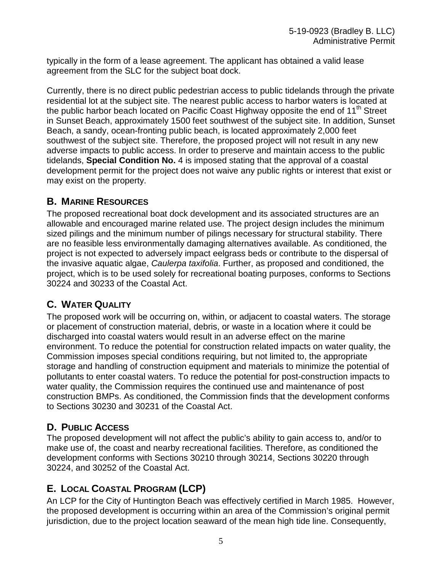typically in the form of a lease agreement. The applicant has obtained a valid lease agreement from the SLC for the subject boat dock.

Currently, there is no direct public pedestrian access to public tidelands through the private residential lot at the subject site. The nearest public access to harbor waters is located at the public harbor beach located on Pacific Coast Highway opposite the end of  $11<sup>th</sup>$  Street in Sunset Beach, approximately 1500 feet southwest of the subject site. In addition, Sunset Beach, a sandy, ocean-fronting public beach, is located approximately 2,000 feet southwest of the subject site. Therefore, the proposed project will not result in any new adverse impacts to public access. In order to preserve and maintain access to the public tidelands, **Special Condition No.** 4 is imposed stating that the approval of a coastal development permit for the project does not waive any public rights or interest that exist or may exist on the property.

### **B. MARINE RESOURCES**

The proposed recreational boat dock development and its associated structures are an allowable and encouraged marine related use. The project design includes the minimum sized pilings and the minimum number of pilings necessary for structural stability. There are no feasible less environmentally damaging alternatives available. As conditioned, the project is not expected to adversely impact eelgrass beds or contribute to the dispersal of the invasive aquatic algae, *Caulerpa taxifolia*. Further, as proposed and conditioned, the project, which is to be used solely for recreational boating purposes, conforms to Sections 30224 and 30233 of the Coastal Act.

## **C. WATER QUALITY**

The proposed work will be occurring on, within, or adjacent to coastal waters. The storage or placement of construction material, debris, or waste in a location where it could be discharged into coastal waters would result in an adverse effect on the marine environment. To reduce the potential for construction related impacts on water quality, the Commission imposes special conditions requiring, but not limited to, the appropriate storage and handling of construction equipment and materials to minimize the potential of pollutants to enter coastal waters. To reduce the potential for post-construction impacts to water quality, the Commission requires the continued use and maintenance of post construction BMPs. As conditioned, the Commission finds that the development conforms to Sections 30230 and 30231 of the Coastal Act.

# **D. PUBLIC ACCESS**

The proposed development will not affect the public's ability to gain access to, and/or to make use of, the coast and nearby recreational facilities. Therefore, as conditioned the development conforms with Sections 30210 through 30214, Sections 30220 through 30224, and 30252 of the Coastal Act.

# **E. LOCAL COASTAL PROGRAM (LCP)**

An LCP for the City of Huntington Beach was effectively certified in March 1985. However, the proposed development is occurring within an area of the Commission's original permit jurisdiction, due to the project location seaward of the mean high tide line. Consequently,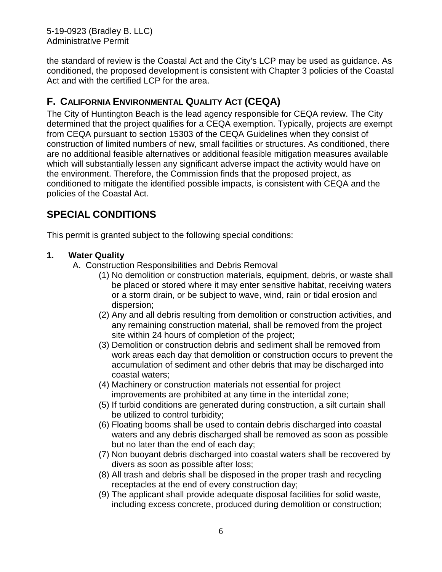5-19-0923 (Bradley B. LLC) Administrative Permit

the standard of review is the Coastal Act and the City's LCP may be used as guidance. As conditioned, the proposed development is consistent with Chapter 3 policies of the Coastal Act and with the certified LCP for the area.

## **F. CALIFORNIA ENVIRONMENTAL QUALITY ACT (CEQA)**

The City of Huntington Beach is the lead agency responsible for CEQA review. The City determined that the project qualifies for a CEQA exemption. Typically, projects are exempt from CEQA pursuant to section 15303 of the CEQA Guidelines when they consist of construction of limited numbers of new, small facilities or structures. As conditioned, there are no additional feasible alternatives or additional feasible mitigation measures available which will substantially lessen any significant adverse impact the activity would have on the environment. Therefore, the Commission finds that the proposed project, as conditioned to mitigate the identified possible impacts, is consistent with CEQA and the policies of the Coastal Act.

# **SPECIAL CONDITIONS**

This permit is granted subject to the following special conditions:

### **1. Water Quality**

- A. Construction Responsibilities and Debris Removal
	- (1) No demolition or construction materials, equipment, debris, or waste shall be placed or stored where it may enter sensitive habitat, receiving waters or a storm drain, or be subject to wave, wind, rain or tidal erosion and dispersion;
	- (2) Any and all debris resulting from demolition or construction activities, and any remaining construction material, shall be removed from the project site within 24 hours of completion of the project;
	- (3) Demolition or construction debris and sediment shall be removed from work areas each day that demolition or construction occurs to prevent the accumulation of sediment and other debris that may be discharged into coastal waters;
	- (4) Machinery or construction materials not essential for project improvements are prohibited at any time in the intertidal zone;
	- (5) If turbid conditions are generated during construction, a silt curtain shall be utilized to control turbidity;
	- (6) Floating booms shall be used to contain debris discharged into coastal waters and any debris discharged shall be removed as soon as possible but no later than the end of each day;
	- (7) Non buoyant debris discharged into coastal waters shall be recovered by divers as soon as possible after loss;
	- (8) All trash and debris shall be disposed in the proper trash and recycling receptacles at the end of every construction day;
	- (9) The applicant shall provide adequate disposal facilities for solid waste, including excess concrete, produced during demolition or construction;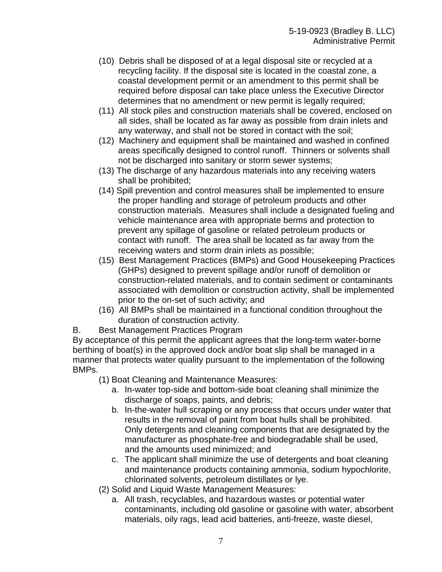- (10) Debris shall be disposed of at a legal disposal site or recycled at a recycling facility. If the disposal site is located in the coastal zone, a coastal development permit or an amendment to this permit shall be required before disposal can take place unless the Executive Director determines that no amendment or new permit is legally required;
- (11) All stock piles and construction materials shall be covered, enclosed on all sides, shall be located as far away as possible from drain inlets and any waterway, and shall not be stored in contact with the soil;
- (12) Machinery and equipment shall be maintained and washed in confined areas specifically designed to control runoff. Thinners or solvents shall not be discharged into sanitary or storm sewer systems;
- (13) The discharge of any hazardous materials into any receiving waters shall be prohibited;
- (14) Spill prevention and control measures shall be implemented to ensure the proper handling and storage of petroleum products and other construction materials. Measures shall include a designated fueling and vehicle maintenance area with appropriate berms and protection to prevent any spillage of gasoline or related petroleum products or contact with runoff. The area shall be located as far away from the receiving waters and storm drain inlets as possible;
- (15) Best Management Practices (BMPs) and Good Housekeeping Practices (GHPs) designed to prevent spillage and/or runoff of demolition or construction-related materials, and to contain sediment or contaminants associated with demolition or construction activity, shall be implemented prior to the on-set of such activity; and
- (16) All BMPs shall be maintained in a functional condition throughout the duration of construction activity.
- B. Best Management Practices Program

By acceptance of this permit the applicant agrees that the long-term water-borne berthing of boat(s) in the approved dock and/or boat slip shall be managed in a manner that protects water quality pursuant to the implementation of the following BMPs.

- (1) Boat Cleaning and Maintenance Measures:
	- a. In-water top-side and bottom-side boat cleaning shall minimize the discharge of soaps, paints, and debris;
	- b. In-the-water hull scraping or any process that occurs under water that results in the removal of paint from boat hulls shall be prohibited. Only detergents and cleaning components that are designated by the manufacturer as phosphate-free and biodegradable shall be used, and the amounts used minimized; and
	- c. The applicant shall minimize the use of detergents and boat cleaning and maintenance products containing ammonia, sodium hypochlorite, chlorinated solvents, petroleum distillates or lye.
- (2) Solid and Liquid Waste Management Measures:
	- a. All trash, recyclables, and hazardous wastes or potential water contaminants, including old gasoline or gasoline with water, absorbent materials, oily rags, lead acid batteries, anti-freeze, waste diesel,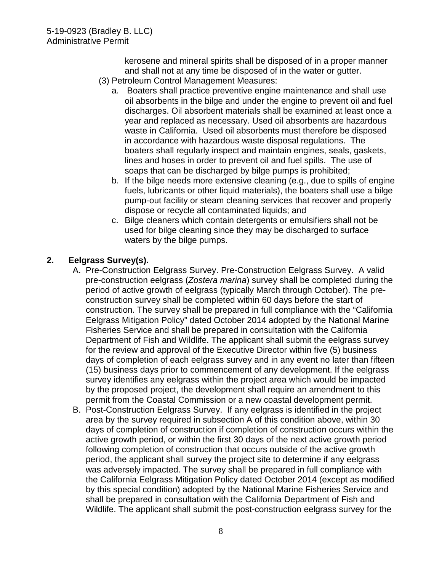kerosene and mineral spirits shall be disposed of in a proper manner and shall not at any time be disposed of in the water or gutter.

- (3) Petroleum Control Management Measures:
	- a. Boaters shall practice preventive engine maintenance and shall use oil absorbents in the bilge and under the engine to prevent oil and fuel discharges. Oil absorbent materials shall be examined at least once a year and replaced as necessary. Used oil absorbents are hazardous waste in California. Used oil absorbents must therefore be disposed in accordance with hazardous waste disposal regulations. The boaters shall regularly inspect and maintain engines, seals, gaskets, lines and hoses in order to prevent oil and fuel spills. The use of soaps that can be discharged by bilge pumps is prohibited;
	- b. If the bilge needs more extensive cleaning (e.g., due to spills of engine fuels, lubricants or other liquid materials), the boaters shall use a bilge pump-out facility or steam cleaning services that recover and properly dispose or recycle all contaminated liquids; and
	- c. Bilge cleaners which contain detergents or emulsifiers shall not be used for bilge cleaning since they may be discharged to surface waters by the bilge pumps.

### **2. Eelgrass Survey(s).**

- A. Pre-Construction Eelgrass Survey. Pre-Construction Eelgrass Survey. A valid pre-construction eelgrass (*Zostera marina*) survey shall be completed during the period of active growth of eelgrass (typically March through October). The preconstruction survey shall be completed within 60 days before the start of construction. The survey shall be prepared in full compliance with the "California Eelgrass Mitigation Policy" dated October 2014 adopted by the National Marine Fisheries Service and shall be prepared in consultation with the California Department of Fish and Wildlife. The applicant shall submit the eelgrass survey for the review and approval of the Executive Director within five (5) business days of completion of each eelgrass survey and in any event no later than fifteen (15) business days prior to commencement of any development. If the eelgrass survey identifies any eelgrass within the project area which would be impacted by the proposed project, the development shall require an amendment to this permit from the Coastal Commission or a new coastal development permit.
- B. Post-Construction Eelgrass Survey. If any eelgrass is identified in the project area by the survey required in subsection A of this condition above, within 30 days of completion of construction if completion of construction occurs within the active growth period, or within the first 30 days of the next active growth period following completion of construction that occurs outside of the active growth period, the applicant shall survey the project site to determine if any eelgrass was adversely impacted. The survey shall be prepared in full compliance with the California Eelgrass Mitigation Policy dated October 2014 (except as modified by this special condition) adopted by the National Marine Fisheries Service and shall be prepared in consultation with the California Department of Fish and Wildlife. The applicant shall submit the post-construction eelgrass survey for the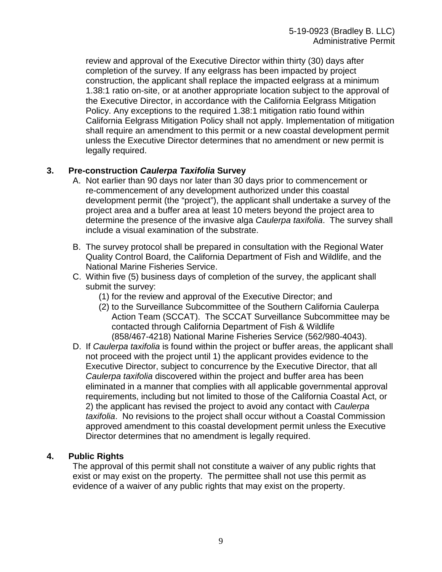review and approval of the Executive Director within thirty (30) days after completion of the survey. If any eelgrass has been impacted by project construction, the applicant shall replace the impacted eelgrass at a minimum 1.38:1 ratio on-site, or at another appropriate location subject to the approval of the Executive Director, in accordance with the California Eelgrass Mitigation Policy. Any exceptions to the required 1.38:1 mitigation ratio found within California Eelgrass Mitigation Policy shall not apply. Implementation of mitigation shall require an amendment to this permit or a new coastal development permit unless the Executive Director determines that no amendment or new permit is legally required.

#### **3. Pre-construction** *Caulerpa Taxifolia* **Survey**

- A. Not earlier than 90 days nor later than 30 days prior to commencement or re-commencement of any development authorized under this coastal development permit (the "project"), the applicant shall undertake a survey of the project area and a buffer area at least 10 meters beyond the project area to determine the presence of the invasive alga *Caulerpa taxifolia*. The survey shall include a visual examination of the substrate.
- B. The survey protocol shall be prepared in consultation with the Regional Water Quality Control Board, the California Department of Fish and Wildlife, and the National Marine Fisheries Service.
- C. Within five (5) business days of completion of the survey, the applicant shall submit the survey:
	- (1) for the review and approval of the Executive Director; and
	- (2) to the Surveillance Subcommittee of the Southern California Caulerpa Action Team (SCCAT). The SCCAT Surveillance Subcommittee may be contacted through California Department of Fish & Wildlife (858/467-4218) National Marine Fisheries Service (562/980-4043).
- D. If *Caulerpa taxifolia* is found within the project or buffer areas, the applicant shall not proceed with the project until 1) the applicant provides evidence to the Executive Director, subject to concurrence by the Executive Director, that all *Caulerpa taxifolia* discovered within the project and buffer area has been eliminated in a manner that complies with all applicable governmental approval requirements, including but not limited to those of the California Coastal Act, or 2) the applicant has revised the project to avoid any contact with *Caulerpa taxifolia*. No revisions to the project shall occur without a Coastal Commission approved amendment to this coastal development permit unless the Executive Director determines that no amendment is legally required.

#### **4. Public Rights**

The approval of this permit shall not constitute a waiver of any public rights that exist or may exist on the property. The permittee shall not use this permit as evidence of a waiver of any public rights that may exist on the property.